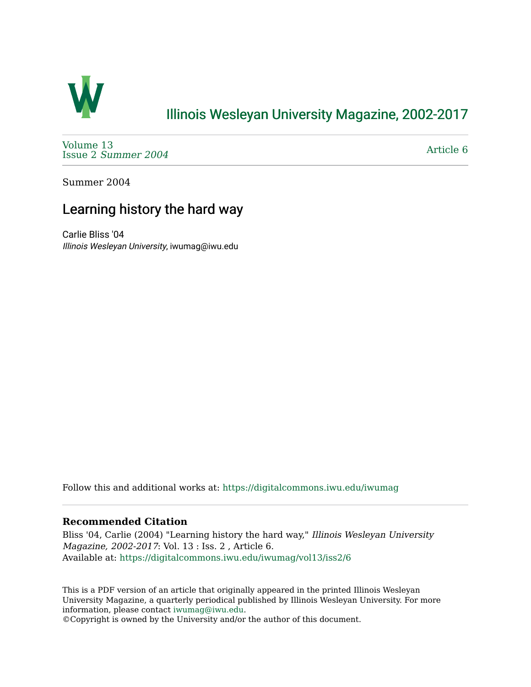

## [Illinois Wesleyan University Magazine, 2002-2017](https://digitalcommons.iwu.edu/iwumag)

[Volume 13](https://digitalcommons.iwu.edu/iwumag/vol13)  Issue 2 [Summer 2004](https://digitalcommons.iwu.edu/iwumag/vol13/iss2) 

[Article 6](https://digitalcommons.iwu.edu/iwumag/vol13/iss2/6) 

Summer 2004

## Learning history the hard way

Carlie Bliss '04 Illinois Wesleyan University, iwumag@iwu.edu

Follow this and additional works at: [https://digitalcommons.iwu.edu/iwumag](https://digitalcommons.iwu.edu/iwumag?utm_source=digitalcommons.iwu.edu%2Fiwumag%2Fvol13%2Fiss2%2F6&utm_medium=PDF&utm_campaign=PDFCoverPages) 

## **Recommended Citation**

Bliss '04, Carlie (2004) "Learning history the hard way," Illinois Wesleyan University Magazine, 2002-2017: Vol. 13 : Iss. 2 , Article 6. Available at: [https://digitalcommons.iwu.edu/iwumag/vol13/iss2/6](https://digitalcommons.iwu.edu/iwumag/vol13/iss2/6?utm_source=digitalcommons.iwu.edu%2Fiwumag%2Fvol13%2Fiss2%2F6&utm_medium=PDF&utm_campaign=PDFCoverPages)

This is a PDF version of an article that originally appeared in the printed Illinois Wesleyan University Magazine, a quarterly periodical published by Illinois Wesleyan University. For more information, please contact [iwumag@iwu.edu](mailto:iwumag@iwu.edu).

©Copyright is owned by the University and/or the author of this document.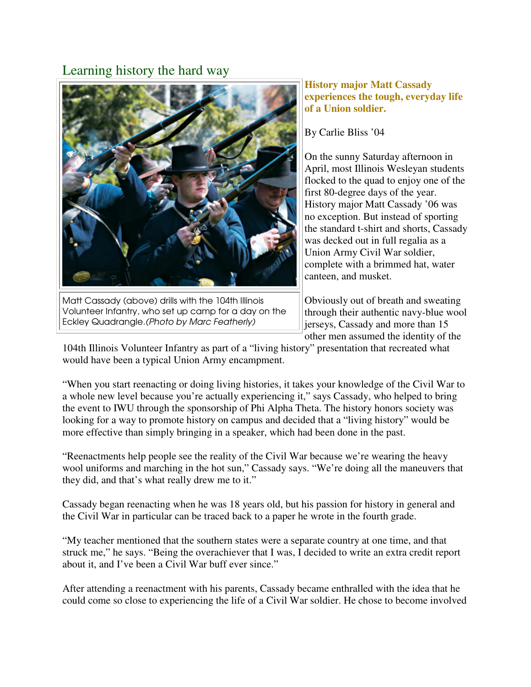## Learning history the hard way



Matt Cassady (above) drills with the 104th Illinois Volunteer Infantry, who set up camp for a day on the Eckley Quadrangle.(Photo by Marc Featherly)

**History major Matt Cassady experiences the tough, everyday life of a Union soldier.** 

By Carlie Bliss '04

On the sunny Saturday afternoon in April, most Illinois Wesleyan students flocked to the quad to enjoy one of the first 80-degree days of the year. History major Matt Cassady '06 was no exception. But instead of sporting the standard t-shirt and shorts, Cassady was decked out in full regalia as a Union Army Civil War soldier, complete with a brimmed hat, water canteen, and musket.

Obviously out of breath and sweating through their authentic navy-blue wool jerseys, Cassady and more than 15 other men assumed the identity of the

104th Illinois Volunteer Infantry as part of a "living history" presentation that recreated what would have been a typical Union Army encampment.

"When you start reenacting or doing living histories, it takes your knowledge of the Civil War to a whole new level because you're actually experiencing it," says Cassady, who helped to bring the event to IWU through the sponsorship of Phi Alpha Theta. The history honors society was looking for a way to promote history on campus and decided that a "living history" would be more effective than simply bringing in a speaker, which had been done in the past.

"Reenactments help people see the reality of the Civil War because we're wearing the heavy wool uniforms and marching in the hot sun," Cassady says. "We're doing all the maneuvers that they did, and that's what really drew me to it."

Cassady began reenacting when he was 18 years old, but his passion for history in general and the Civil War in particular can be traced back to a paper he wrote in the fourth grade.

"My teacher mentioned that the southern states were a separate country at one time, and that struck me," he says. "Being the overachiever that I was, I decided to write an extra credit report about it, and I've been a Civil War buff ever since."

After attending a reenactment with his parents, Cassady became enthralled with the idea that he could come so close to experiencing the life of a Civil War soldier. He chose to become involved